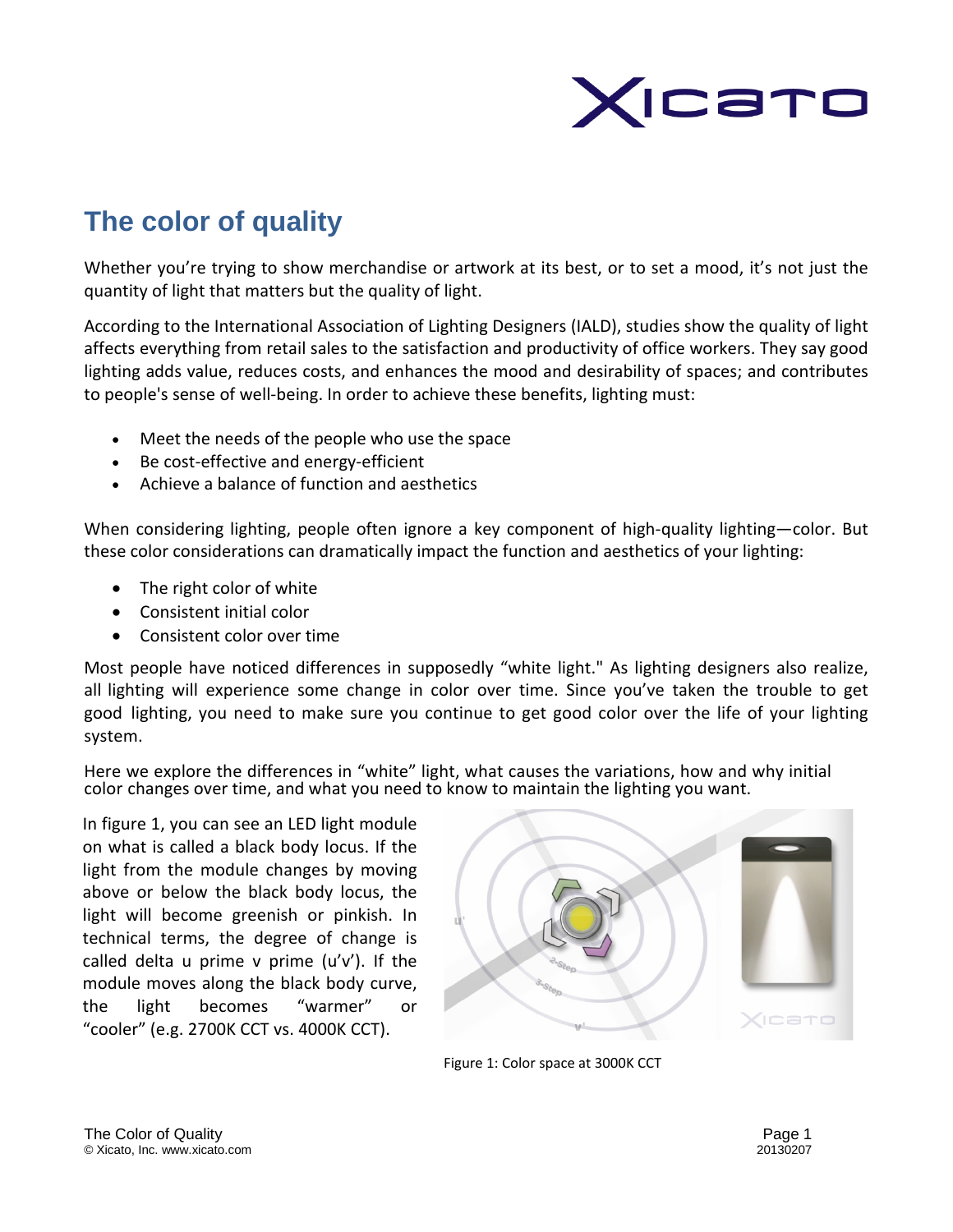

# **The color of quality**

Whether you're trying to show merchandise or artwork at its best, or to set a mood, it's not just the quantity of light that matters but the quality of light.

According to the International Association of Lighting Designers (IALD), studies show the quality of light affects everything from retail sales to the satisfaction and productivity of office workers. They say good lighting adds value, reduces costs, and enhances the mood and desirability of spaces; and contributes to people's sense of well-being. In order to achieve these benefits, lighting must:

- Meet the needs of the people who use the space
- Be cost-effective and energy-efficient
- Achieve a balance of function and aesthetics

When considering lighting, people often ignore a key component of high-quality lighting—color. But these color considerations can dramatically impact the function and aesthetics of your lighting:

- The right color of white
- Consistent initial color
- Consistent color over time

Most people have noticed differences in supposedly "white light." As lighting designers also realize, all lighting will experience some change in color over time. Since you've taken the trouble to get good lighting, you need to make sure you continue to get good color over the life of your lighting system.

Here we explore the differences in "white" light, what causes the variations, how and why initial color changes over time, and what you need to know to maintain the lighting you want.

In figure 1, you can see an LED light module on what is called a black body locus. If the light from the module changes by moving above or below the black body locus, the light will become greenish or pinkish. In technical terms, the degree of change is called delta u prime  $v$  prime  $(u'v')$ . If the module moves along the black body curve, the light becomes "warmer" or "cooler" (e.g. 2700K CCT vs. 4000K CCT).



Figure 1: Color space at 3000K CCT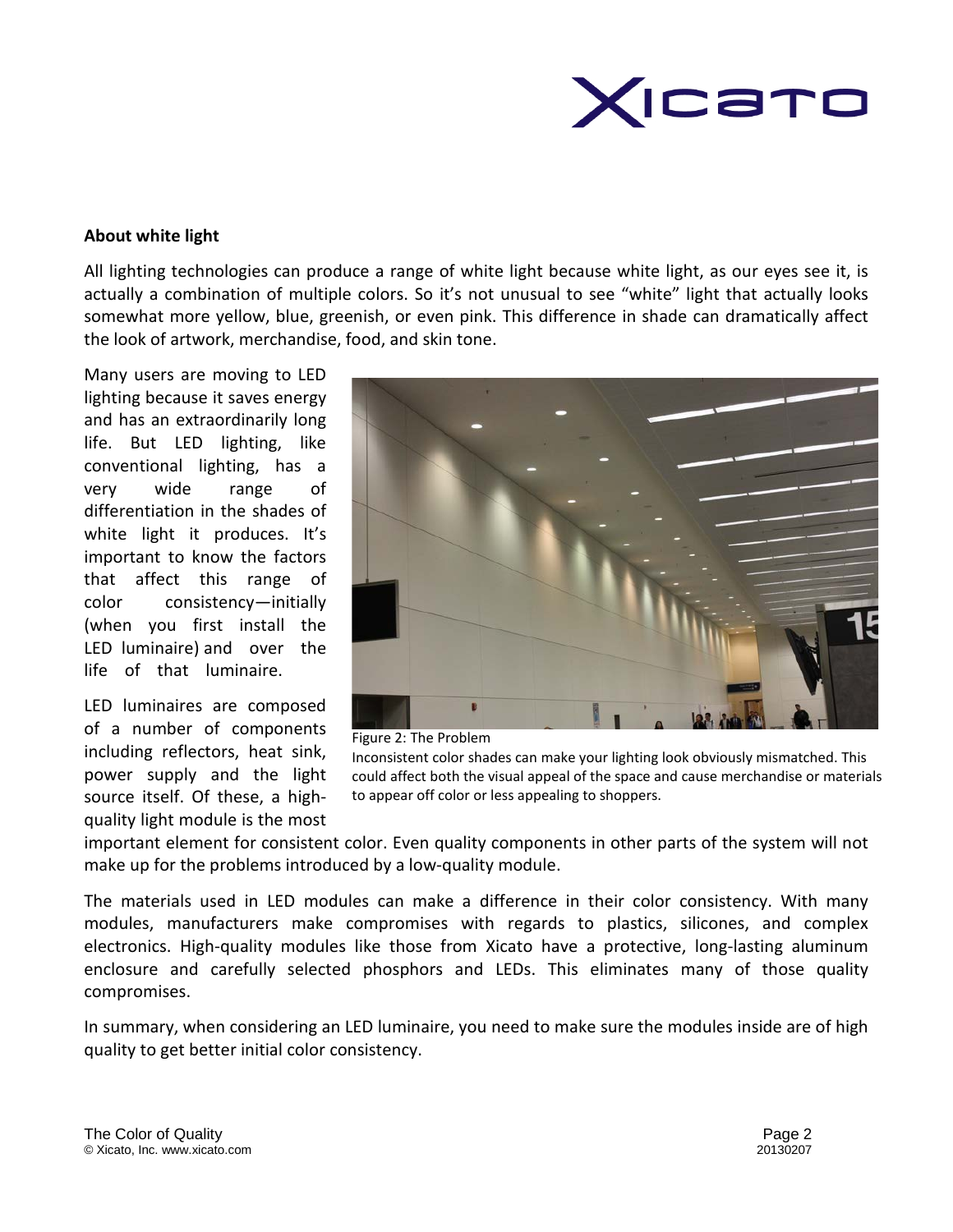

## **About white light**

All lighting technologies can produce a range of white light because white light, as our eyes see it, is actually a combination of multiple colors. So it's not unusual to see "white" light that actually looks somewhat more yellow, blue, greenish, or even pink. This difference in shade can dramatically affect the look of artwork, merchandise, food, and skin tone.

Many users are moving to LED lighting because it saves energy and has an extraordinarily long life. But LED lighting, like conventional lighting, has a very wide range of differentiation in the shades of white light it produces. It's important to know the factors that affect this range of color consistency—initially (when you first install the LED luminaire) and over the life of that luminaire.

LED luminaires are composed of a number of components including reflectors, heat sink, power supply and the light source itself. Of these, a highquality light module is the most



Figure 2: The Problem Inconsistent color shades can make your lighting look obviously mismatched. This could affect both the visual appeal of the space and cause merchandise or materials to appear off color or less appealing to shoppers.

important element for consistent color. Even quality components in other parts of the system will not make up for the problems introduced by a low-quality module.

The materials used in LED modules can make a difference in their color consistency. With many modules, manufacturers make compromises with regards to plastics, silicones, and complex electronics. High-quality modules like those from Xicato have a protective, long-lasting aluminum enclosure and carefully selected phosphors and LEDs. This eliminates many of those quality compromises.

In summary, when considering an LED luminaire, you need to make sure the modules inside are of high quality to get better initial color consistency.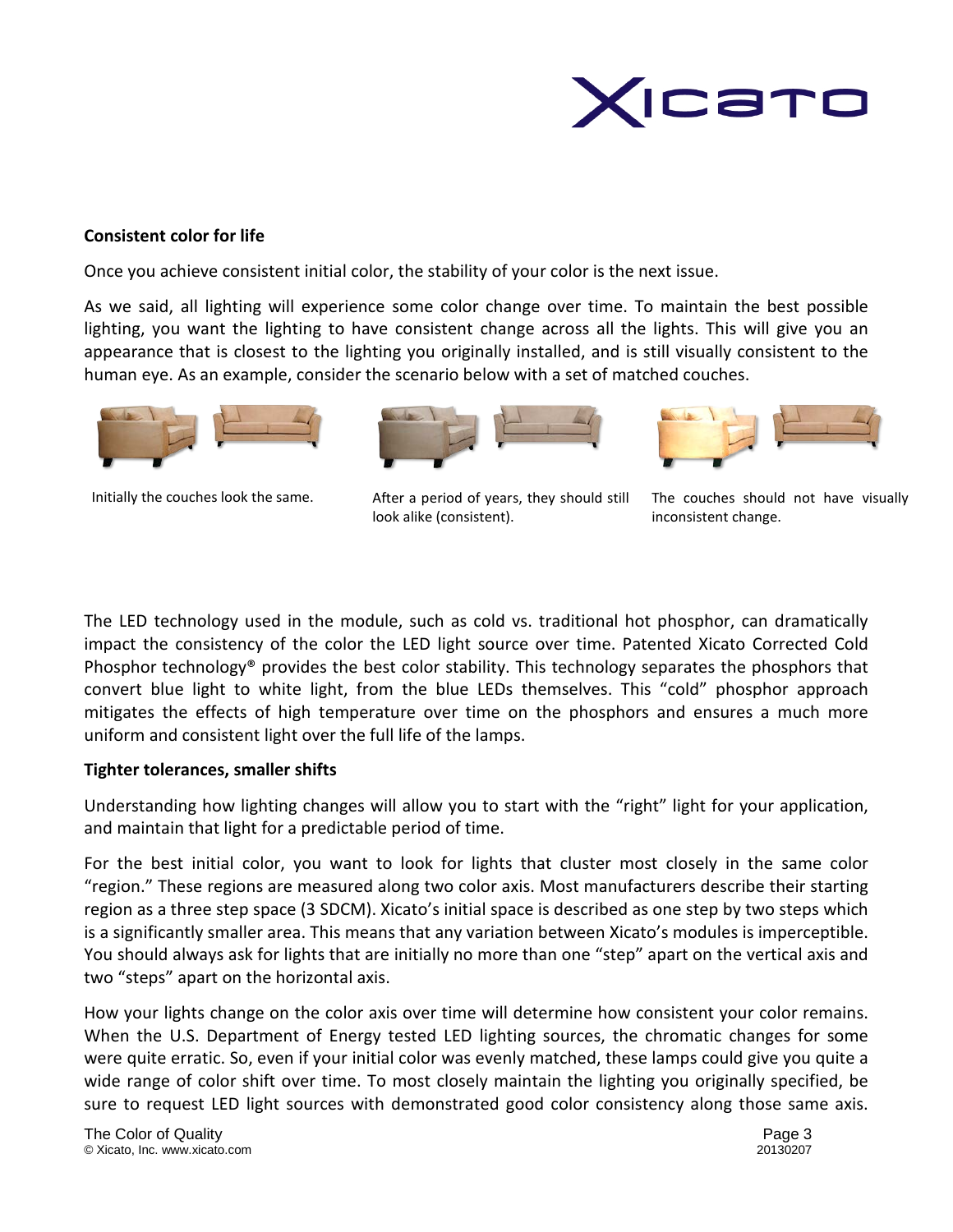

### **Consistent color for life**

Once you achieve consistent initial color, the stability of your color is the next issue.

As we said, all lighting will experience some color change over time. To maintain the best possible lighting, you want the lighting to have consistent change across all the lights. This will give you an appearance that is closest to the lighting you originally installed, and is still visually consistent to the human eye. As an example, consider the scenario below with a set of matched couches.



Initially the couches look the same.



After a period of years, they should still look alike (consistent).



The couches should not have visually inconsistent change.

The LED technology used in the module, such as cold vs. traditional hot phosphor, can dramatically impact the consistency of the color the LED light source over time. Patented Xicato Corrected Cold Phosphor technology® provides the best color stability. This technology separates the phosphors that convert blue light to white light, from the blue LEDs themselves. This "cold" phosphor approach mitigates the effects of high temperature over time on the phosphors and ensures a much more uniform and consistent light over the full life of the lamps.

#### **Tighter tolerances, smaller shifts**

Understanding how lighting changes will allow you to start with the "right" light for your application, and maintain that light for a predictable period of time.

For the best initial color, you want to look for lights that cluster most closely in the same color "region." These regions are measured along two color axis. Most manufacturers describe their starting region as a three step space (3 SDCM). Xicato's initial space is described as one step by two steps which is a significantly smaller area. This means that any variation between Xicato's modules is imperceptible. You should always ask for lights that are initially no more than one "step" apart on the vertical axis and two "steps" apart on the horizontal axis.

How your lights change on the color axis over time will determine how consistent your color remains. When the U.S. Department of Energy tested LED lighting sources, the chromatic changes for some were quite erratic. So, even if your initial color was evenly matched, these lamps could give you quite a wide range of color shift over time. To most closely maintain the lighting you originally specified, be sure to request LED light sources with demonstrated good color consistency along those same axis.